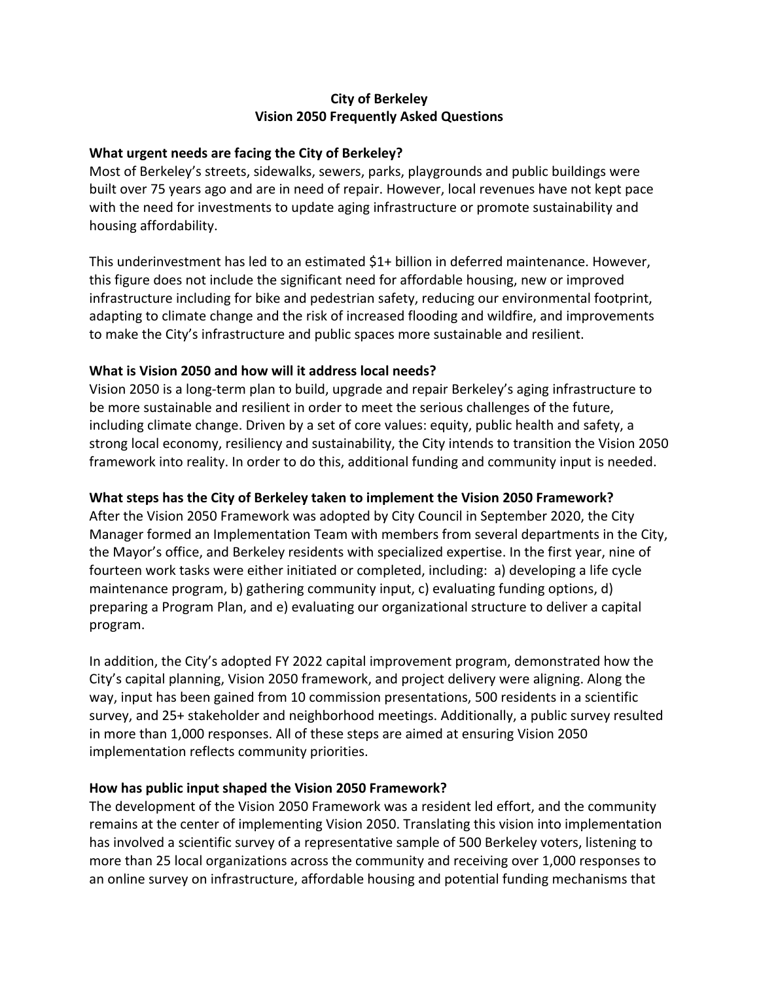## **City of Berkeley Vision 2050 Frequently Asked Questions**

#### **What urgent needs are facing the City of Berkeley?**

Most of Berkeley's streets, sidewalks, sewers, parks, playgrounds and public buildings were built over 75 years ago and are in need of repair. However, local revenues have not kept pace with the need for investments to update aging infrastructure or promote sustainability and housing affordability.

This underinvestment has led to an estimated \$1+ billion in deferred maintenance. However, this figure does not include the significant need for affordable housing, new or improved infrastructure including for bike and pedestrian safety, reducing our environmental footprint, adapting to climate change and the risk of increased flooding and wildfire, and improvements to make the City's infrastructure and public spaces more sustainable and resilient.

#### **What is Vision 2050 and how will it address local needs?**

Vision 2050 is a long-term plan to build, upgrade and repair Berkeley's aging infrastructure to be more sustainable and resilient in order to meet the serious challenges of the future, including climate change. Driven by a set of core values: equity, public health and safety, a strong local economy, resiliency and sustainability, the City intends to transition the Vision 2050 framework into reality. In order to do this, additional funding and community input is needed.

#### **What steps has the City of Berkeley taken to implement the Vision 2050 Framework?**

After the Vision 2050 Framework was adopted by City Council in September 2020, the City Manager formed an Implementation Team with members from several departments in the City, the Mayor's office, and Berkeley residents with specialized expertise. In the first year, nine of fourteen work tasks were either initiated or completed, including: a) developing a life cycle maintenance program, b) gathering community input, c) evaluating funding options, d) preparing a Program Plan, and e) evaluating our organizational structure to deliver a capital program.

In addition, the City's adopted FY 2022 capital improvement program, demonstrated how the City's capital planning, Vision 2050 framework, and project delivery were aligning. Along the way, input has been gained from 10 commission presentations, 500 residents in a scientific survey, and 25+ stakeholder and neighborhood meetings. Additionally, a public survey resulted in more than 1,000 responses. All of these steps are aimed at ensuring Vision 2050 implementation reflects community priorities.

#### **How has public input shaped the Vision 2050 Framework?**

The development of the Vision 2050 Framework was a resident led effort, and the community remains at the center of implementing Vision 2050. Translating this vision into implementation has involved a scientific survey of a representative sample of 500 Berkeley voters, listening to more than 25 local organizations across the community and receiving over 1,000 responses to an online survey on infrastructure, affordable housing and potential funding mechanisms that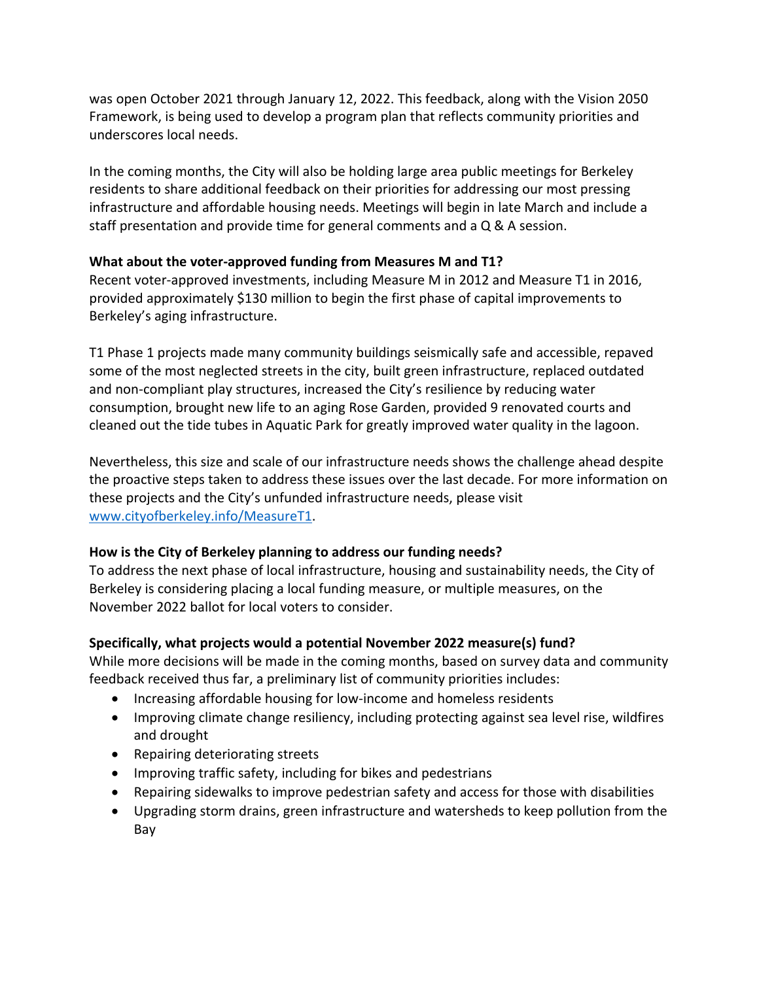was open October 2021 through January 12, 2022. This feedback, along with the Vision 2050 Framework, is being used to develop a program plan that reflects community priorities and underscores local needs.

In the coming months, the City will also be holding large area public meetings for Berkeley residents to share additional feedback on their priorities for addressing our most pressing infrastructure and affordable housing needs. Meetings will begin in late March and include a staff presentation and provide time for general comments and a Q & A session.

## **What about the voter-approved funding from Measures M and T1?**

Recent voter-approved investments, including Measure M in 2012 and Measure T1 in 2016, provided approximately \$130 million to begin the first phase of capital improvements to Berkeley's aging infrastructure.

T1 Phase 1 projects made many community buildings seismically safe and accessible, repaved some of the most neglected streets in the city, built green infrastructure, replaced outdated and non-compliant play structures, increased the City's resilience by reducing water consumption, brought new life to an aging Rose Garden, provided 9 renovated courts and cleaned out the tide tubes in Aquatic Park for greatly improved water quality in the lagoon.

Nevertheless, this size and scale of our infrastructure needs shows the challenge ahead despite the proactive steps taken to address these issues over the last decade. For more information on these projects and the City's unfunded infrastructure needs, please visit www.cityofberkeley.info/MeasureT1.

## **How is the City of Berkeley planning to address our funding needs?**

To address the next phase of local infrastructure, housing and sustainability needs, the City of Berkeley is considering placing a local funding measure, or multiple measures, on the November 2022 ballot for local voters to consider.

# **Specifically, what projects would a potential November 2022 measure(s) fund?**

While more decisions will be made in the coming months, based on survey data and community feedback received thus far, a preliminary list of community priorities includes:

- Increasing affordable housing for low-income and homeless residents
- Improving climate change resiliency, including protecting against sea level rise, wildfires and drought
- Repairing deteriorating streets
- Improving traffic safety, including for bikes and pedestrians
- Repairing sidewalks to improve pedestrian safety and access for those with disabilities
- Upgrading storm drains, green infrastructure and watersheds to keep pollution from the Bay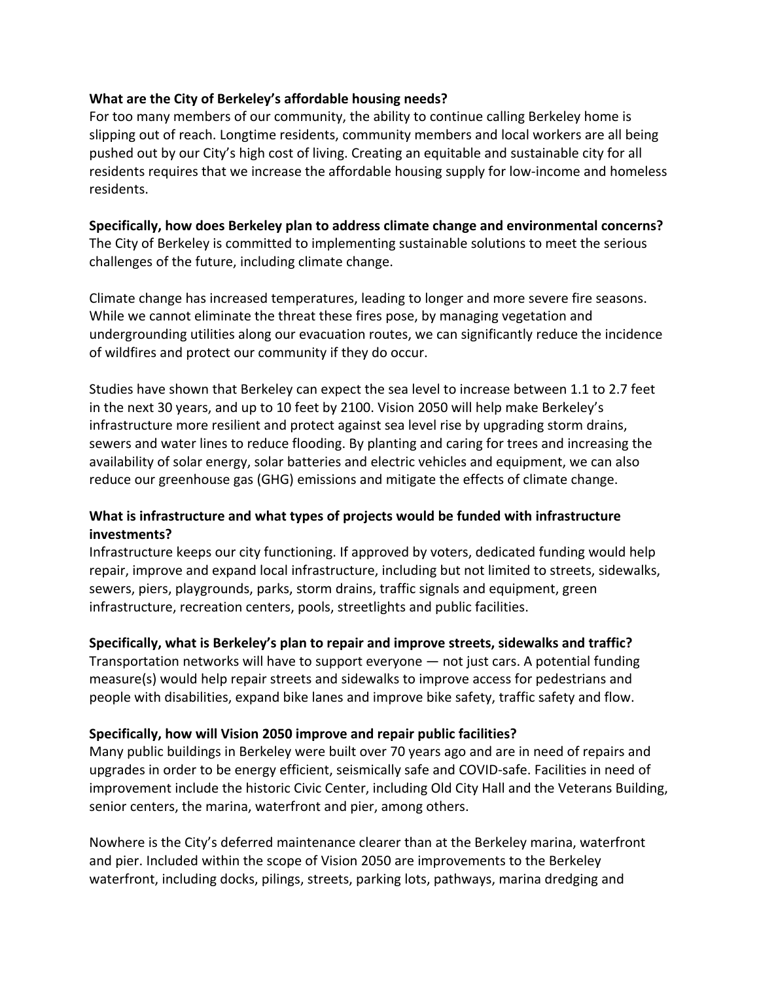#### **What are the City of Berkeley's affordable housing needs?**

For too many members of our community, the ability to continue calling Berkeley home is slipping out of reach. Longtime residents, community members and local workers are all being pushed out by our City's high cost of living. Creating an equitable and sustainable city for all residents requires that we increase the affordable housing supply for low-income and homeless residents.

# **Specifically, how does Berkeley plan to address climate change and environmental concerns?**

The City of Berkeley is committed to implementing sustainable solutions to meet the serious challenges of the future, including climate change.

Climate change has increased temperatures, leading to longer and more severe fire seasons. While we cannot eliminate the threat these fires pose, by managing vegetation and undergrounding utilities along our evacuation routes, we can significantly reduce the incidence of wildfires and protect our community if they do occur.

Studies have shown that Berkeley can expect the sea level to increase between 1.1 to 2.7 feet in the next 30 years, and up to 10 feet by 2100. Vision 2050 will help make Berkeley's infrastructure more resilient and protect against sea level rise by upgrading storm drains, sewers and water lines to reduce flooding. By planting and caring for trees and increasing the availability of solar energy, solar batteries and electric vehicles and equipment, we can also reduce our greenhouse gas (GHG) emissions and mitigate the effects of climate change.

## **What is infrastructure and what types of projects would be funded with infrastructure investments?**

Infrastructure keeps our city functioning. If approved by voters, dedicated funding would help repair, improve and expand local infrastructure, including but not limited to streets, sidewalks, sewers, piers, playgrounds, parks, storm drains, traffic signals and equipment, green infrastructure, recreation centers, pools, streetlights and public facilities.

## **Specifically, what is Berkeley's plan to repair and improve streets, sidewalks and traffic?**

Transportation networks will have to support everyone — not just cars. A potential funding measure(s) would help repair streets and sidewalks to improve access for pedestrians and people with disabilities, expand bike lanes and improve bike safety, traffic safety and flow.

## **Specifically, how will Vision 2050 improve and repair public facilities?**

Many public buildings in Berkeley were built over 70 years ago and are in need of repairs and upgrades in order to be energy efficient, seismically safe and COVID-safe. Facilities in need of improvement include the historic Civic Center, including Old City Hall and the Veterans Building, senior centers, the marina, waterfront and pier, among others.

Nowhere is the City's deferred maintenance clearer than at the Berkeley marina, waterfront and pier. Included within the scope of Vision 2050 are improvements to the Berkeley waterfront, including docks, pilings, streets, parking lots, pathways, marina dredging and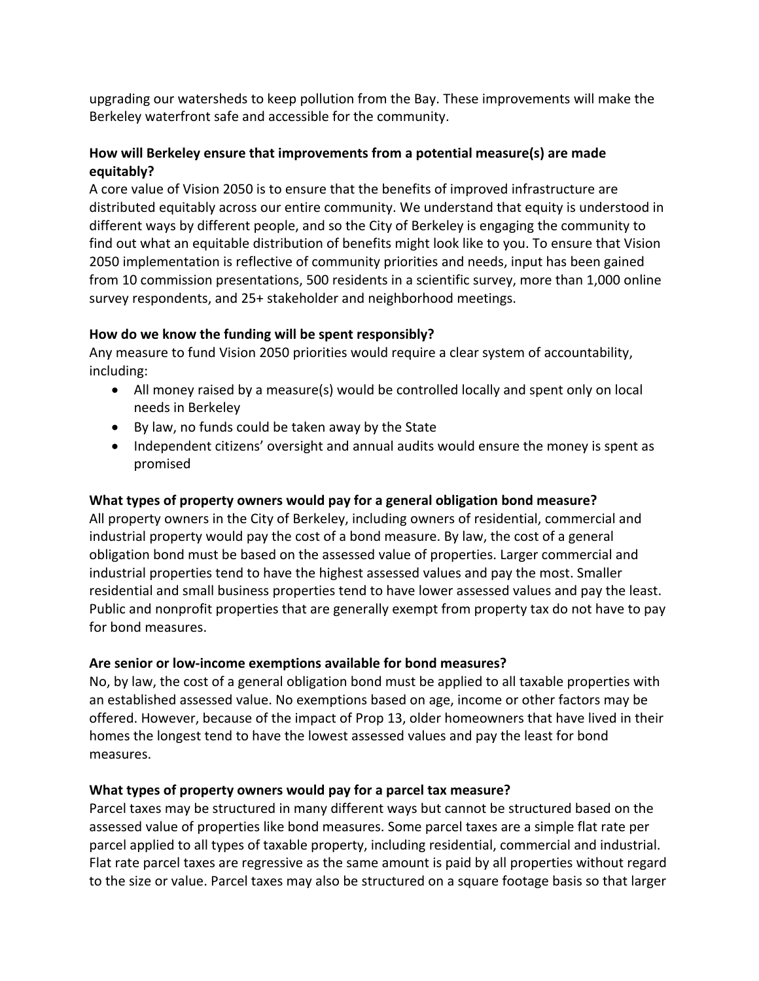upgrading our watersheds to keep pollution from the Bay. These improvements will make the Berkeley waterfront safe and accessible for the community.

# **How will Berkeley ensure that improvements from a potential measure(s) are made equitably?**

A core value of Vision 2050 is to ensure that the benefits of improved infrastructure are distributed equitably across our entire community. We understand that equity is understood in different ways by different people, and so the City of Berkeley is engaging the community to find out what an equitable distribution of benefits might look like to you. To ensure that Vision 2050 implementation is reflective of community priorities and needs, input has been gained from 10 commission presentations, 500 residents in a scientific survey, more than 1,000 online survey respondents, and 25+ stakeholder and neighborhood meetings.

# **How do we know the funding will be spent responsibly?**

Any measure to fund Vision 2050 priorities would require a clear system of accountability, including:

- All money raised by a measure(s) would be controlled locally and spent only on local needs in Berkeley
- By law, no funds could be taken away by the State
- Independent citizens' oversight and annual audits would ensure the money is spent as promised

# **What types of property owners would pay for a general obligation bond measure?**

All property owners in the City of Berkeley, including owners of residential, commercial and industrial property would pay the cost of a bond measure. By law, the cost of a general obligation bond must be based on the assessed value of properties. Larger commercial and industrial properties tend to have the highest assessed values and pay the most. Smaller residential and small business properties tend to have lower assessed values and pay the least. Public and nonprofit properties that are generally exempt from property tax do not have to pay for bond measures.

## **Are senior or low-income exemptions available for bond measures?**

No, by law, the cost of a general obligation bond must be applied to all taxable properties with an established assessed value. No exemptions based on age, income or other factors may be offered. However, because of the impact of Prop 13, older homeowners that have lived in their homes the longest tend to have the lowest assessed values and pay the least for bond measures.

# **What types of property owners would pay for a parcel tax measure?**

Parcel taxes may be structured in many different ways but cannot be structured based on the assessed value of properties like bond measures. Some parcel taxes are a simple flat rate per parcel applied to all types of taxable property, including residential, commercial and industrial. Flat rate parcel taxes are regressive as the same amount is paid by all properties without regard to the size or value. Parcel taxes may also be structured on a square footage basis so that larger